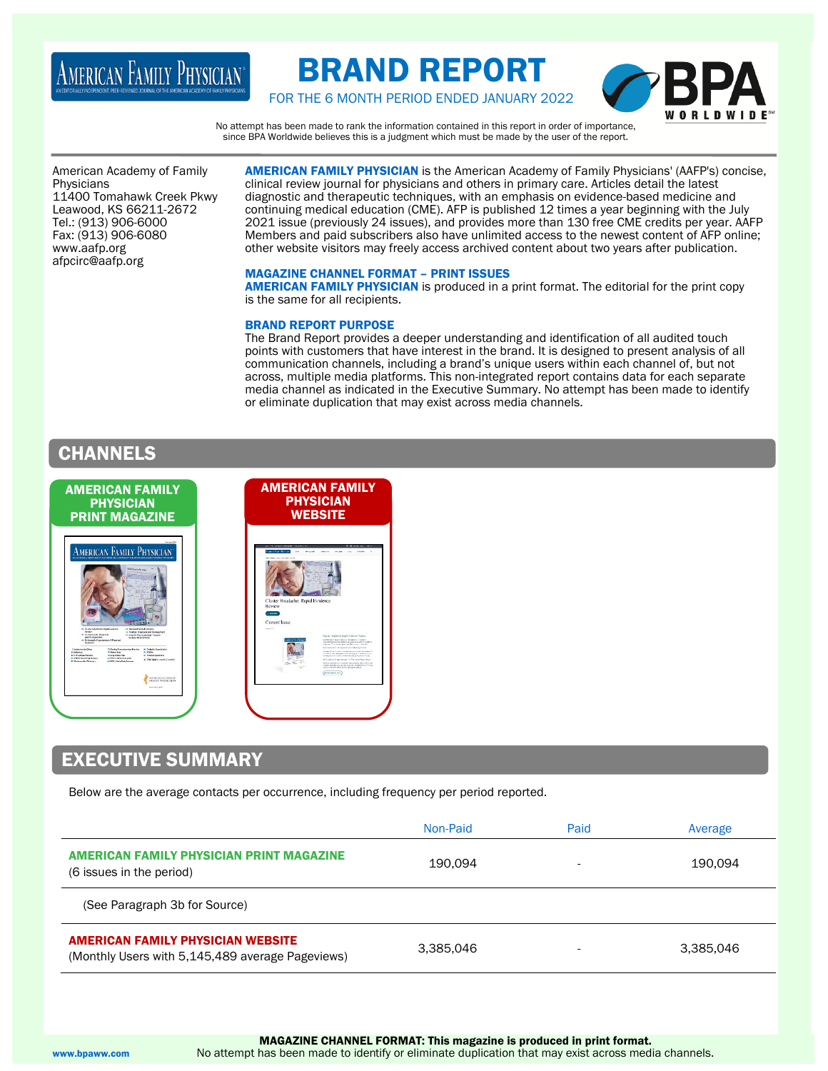# AMERICAN FAMILY PHYSICIAN®

# BRAND REPORT



FOR THE 6 MONTH PERIOD ENDED JANUARY 2022

No attempt has been made to rank the information contained in this report in order of importance, since BPA Worldwide believes this is a judgment which must be made by the user of the report.

American Academy of Family Physicians 11400 Tomahawk Creek Pkwy Leawood, KS 66211-2672 Tel.: (913) 906-6000 Fax: (913) 906-6080 www.aafp.org afpcirc@aafp.org

AMERICAN FAMILY PHYSICIAN is the American Academy of Family Physicians' (AAFP's) concise, clinical review journal for physicians and others in primary care. Articles detail the latest diagnostic and therapeutic techniques, with an emphasis on evidence-based medicine and continuing medical education (CME). AFP is published 12 times a year beginning with the July 2021 issue (previously 24 issues), and provides more than 130 free CME credits per year. AAFP Members and paid subscribers also have unlimited access to the newest content of AFP online; other website visitors may freely access archived content about two years after publication.

## MAGAZINE CHANNEL FORMAT – PRINT ISSUES

AMERICAN FAMILY PHYSICIAN is produced in a print format. The editorial for the print copy is the same for all recipients.

## BRAND REPORT PURPOSE

The Brand Report provides a deeper understanding and identification of all audited touch points with customers that have interest in the brand. It is designed to present analysis of all communication channels, including a brand's unique users within each channel of, but not across, multiple media platforms. This non-integrated report contains data for each separate media channel as indicated in the Executive Summary. No attempt has been made to identify or eliminate duplication that may exist across media channels.

# **CHANNELS**



# EXECUTIVE SUMMARY

Below are the average contacts per occurrence, including frequency per period reported.

|                                                                                              | Non-Paid  | Paid                     | Average   |
|----------------------------------------------------------------------------------------------|-----------|--------------------------|-----------|
| AMERICAN FAMILY PHYSICIAN PRINT MAGAZINE<br>(6 issues in the period)                         | 190.094   | $\overline{\phantom{a}}$ | 190.094   |
| (See Paragraph 3b for Source)                                                                |           |                          |           |
| <b>AMERICAN FAMILY PHYSICIAN WEBSITE</b><br>(Monthly Users with 5,145,489 average Pageviews) | 3,385,046 |                          | 3,385,046 |

www.bpaww.com No attempt has been made to identify or eliminate duplication that may exist across media channels.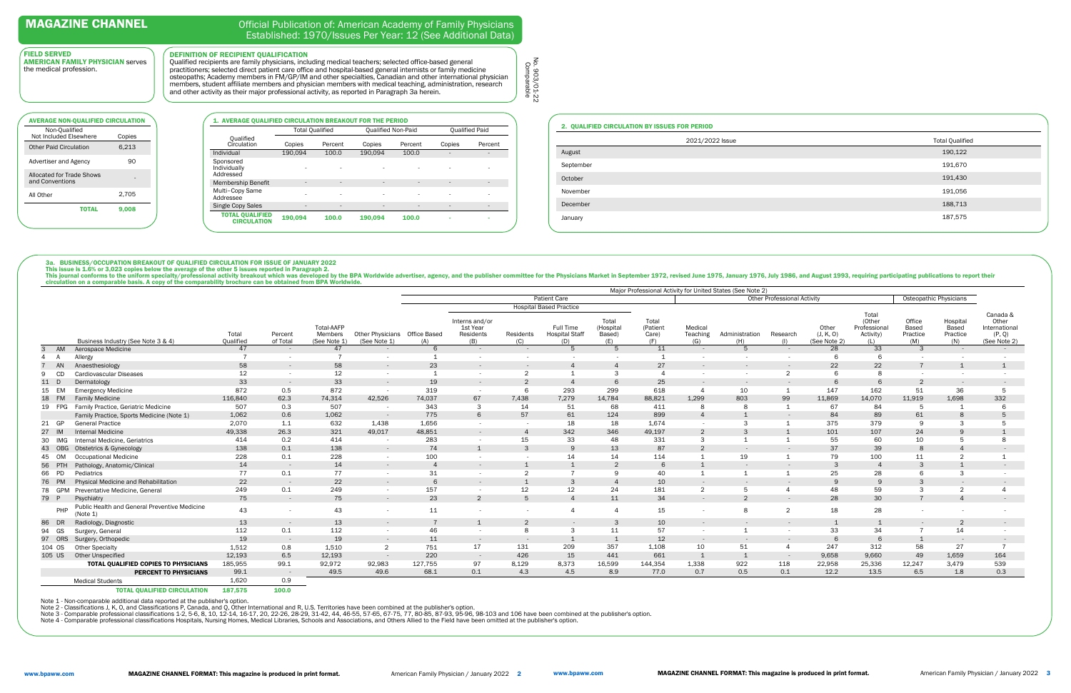|                                              | <b>Total Qualified</b>   |                          | <b>Oualified Non-Paid</b> |         |        | <b>Qualified Paid</b> |
|----------------------------------------------|--------------------------|--------------------------|---------------------------|---------|--------|-----------------------|
| Oualified<br>Circulation                     | Copies                   | Percent                  | Copies                    | Percent | Copies | Percent               |
| Individual                                   | 190.094                  | 100.0                    | 190,094                   | 100.0   | ۰      |                       |
| Sponsored<br>Individually<br>Addressed       |                          |                          |                           |         |        | ٠                     |
| Membership Benefit                           | $\overline{\phantom{a}}$ | $\overline{\phantom{a}}$ | ۰                         |         | ۰      |                       |
| Multi-Copy Same<br>Addressee                 | ٠                        | ٠                        | ۰                         |         |        | ٠                     |
| Single Copy Sales                            | ٠                        | $\overline{\phantom{a}}$ | ٠                         |         | ۰      | ٠                     |
| <b>TOTAL QUALIFIED</b><br><b>CIRCULATION</b> | 190,094                  | 100.0                    | 190.094                   | 100.0   |        | ۰                     |

# Official Publication of: American Academy of Family Physicians Established: 1970/Issues Per Year: 12 (See Additional Data)

# FIELD SERVED

AMERICAN FAMILY PHYSICIAN serves the medical profession.

|                                              | 9.008<br><b>TOTAL</b> |  |
|----------------------------------------------|-----------------------|--|
| All Other                                    | 2,705                 |  |
| Allocated for Trade Shows<br>and Conventions |                       |  |
| Advertiser and Agency                        | 90                    |  |
| Other Paid Circulation                       | 6,213                 |  |
| Non-Qualified<br>Not Included Elsewhere      | Copies                |  |
| <b>AVERAGE NON-QUALIFIED CIRCULATION</b>     |                       |  |

DEFINITION OF RECIPIENT QUALIFICATION

This issue is 1.6% or 3,023 copies below the average of the other 5 issues reported in Paragraph 2.<br>This journal conforms to the uniform specialty/professional activity breakout which was developed by the BPA Worldwide adv

Qualified recipients are family physicians, including medical teachers; selected office-based general practitioners; selected direct patient care office and hospital-based general internists or family medicine osteopaths; Academy members in FM/GP/IM and other specialties, Canadian and other international physician members, student affiliate members and physician members with medical teaching, administration, research and other activity as their major professional activity, as reported in Paragraph 3a herein.

# 2. QUALIFIED CIRCULATION BY ISSUES FOR PERIOD 2021/2022 Issue August 190,122 September 191,670 October 191,430 November 191,056 December 188,713 January 187,575

3a. BUSINESS/OCCUPATION BREAKOUT OF QUALIFIED CIRCULATION FOR ISSUE OF JANUARY 2022

No. 903/01-22<br>Comparable No. 903/01-22 Comparable

|           |                                                           |                    |                     |                                      |                                               | Major Professional Activity for United States (See Note 2) |                                                |                  |                                           |                                     |                                   |                            |                       |                                    |                                    |                                                     |                                    |                                      |                                                              |
|-----------|-----------------------------------------------------------|--------------------|---------------------|--------------------------------------|-----------------------------------------------|------------------------------------------------------------|------------------------------------------------|------------------|-------------------------------------------|-------------------------------------|-----------------------------------|----------------------------|-----------------------|------------------------------------|------------------------------------|-----------------------------------------------------|------------------------------------|--------------------------------------|--------------------------------------------------------------|
|           |                                                           |                    |                     |                                      |                                               |                                                            |                                                |                  | Patient Care                              |                                     |                                   |                            |                       | <b>Other Professional Activity</b> |                                    |                                                     |                                    | Osteopathic Physicians               |                                                              |
|           |                                                           |                    |                     |                                      |                                               |                                                            |                                                |                  | <b>Hospital Based Practice</b>            |                                     |                                   |                            |                       |                                    |                                    |                                                     |                                    |                                      |                                                              |
|           | Business Industry (See Note 3 & 4)                        | Total<br>Qualified | Percent<br>of Total | Total-AAFP<br>Members<br>(See Note 1 | Other Physicians Office Based<br>(See Note 1) | (A)                                                        | Interns and/or<br>1st Year<br>Residents<br>(B) | Residents<br>(C) | Full Time<br><b>Hospital Staff</b><br>(D) | Total<br>(Hospital<br>Based)<br>(E) | Total<br>(Patient<br>Care)<br>(F) | Medical<br>Teaching<br>(G) | Administration<br>(H) | Research<br>(1)                    | Other<br>(J, K, O)<br>(See Note 2) | Total<br>(Other<br>Professional<br>Activity)<br>(L) | Office<br>Based<br>Practice<br>(M) | Hospital<br>Based<br>Practice<br>(N) | Canada &<br>Other<br>International<br>(P, Q)<br>(See Note 2) |
| AM<br>3   | Aerospace Medicine                                        | 47                 | $\sim$              | 47                                   | $\sim$ $-$                                    | 6                                                          | $\sim$                                         | $\sim$           | -5                                        | -5                                  | 11                                | $\sim$ $ \sim$             | -5                    |                                    | 28                                 | 33                                                  | $\mathbf{3}$                       | $\sim$                               | $\sim$ $-$                                                   |
|           | Allergy                                                   |                    |                     |                                      | $\sim$                                        |                                                            |                                                |                  |                                           |                                     |                                   |                            |                       |                                    | 6                                  |                                                     |                                    |                                      |                                                              |
| AN        | Anaesthesiology                                           | 58                 | $\sim$              | 58                                   | $\sim$                                        | 23                                                         | $\sim$                                         |                  | $\overline{4}$                            |                                     | 27                                |                            |                       |                                    | 22                                 | 22                                                  |                                    |                                      |                                                              |
| CD        | <b>Cardiovascular Diseases</b>                            | 12                 |                     | 12                                   | $\sim$                                        |                                                            | $\sim$                                         | $\overline{2}$   | 1                                         |                                     |                                   |                            |                       | $\sim$                             | 6                                  | 8                                                   |                                    |                                      |                                                              |
| 11        | Dermatology                                               | 33                 | $\sim$              | 33                                   | $\sim$                                        | 19                                                         | $\sim$                                         | $\overline{2}$   | $\overline{4}$                            |                                     | 25                                |                            | $\sim$                |                                    | 6                                  |                                                     |                                    |                                      |                                                              |
| 15<br>EM  | <b>Emergency Medicine</b>                                 | 872                | 0.5                 | 872                                  | $\overline{\phantom{a}}$                      | 319                                                        | $\sim$                                         | 6                | 293                                       | 299                                 | 618                               |                            | 10                    | $\mathbf{1}$                       | 147                                | 162                                                 | 51                                 | 36                                   |                                                              |
| 18 FM     | <b>Family Medicine</b>                                    | 116,840            | 62.3                | 74,314                               | 42,526                                        | 74,037                                                     | 67                                             | 7,438            | 7,279                                     | 14,784                              | 88,821                            | 1,299                      | 803                   | 99                                 | 11,869                             | 14,070                                              | 11,919                             | 1,698                                | 332                                                          |
| 19 FPG    | Family Practice, Geriatric Medicine                       | 507                | 0.3                 | 507                                  | $\sim$                                        | 343                                                        | 3                                              | 14               | 51                                        | 68                                  | 411                               | 8                          |                       | $\mathbf{1}$                       | 67                                 | 84                                                  |                                    |                                      |                                                              |
|           | Family Practice, Sports Medicine (Note 1)                 | 1,062              | 0.6                 | 1,062                                | $\sim$ $-$                                    | 775                                                        | 6                                              | 57               | 61                                        | 124                                 | 899                               | $\overline{4}$             |                       |                                    | 84                                 | 89                                                  | 61                                 |                                      |                                                              |
| 21 GP     | <b>General Practice</b>                                   | 2,070              | 1.1                 | 632                                  | 1,438                                         | 1,656                                                      | $\sim$                                         |                  | 18                                        | 18                                  | 1,674                             | $\sim$                     |                       |                                    | 375                                | 379                                                 |                                    |                                      |                                                              |
| 27 IM     | <b>Internal Medicine</b>                                  | 49,338             | 26.3                | 321                                  | 49,017                                        | 48,851                                                     | $\sim$                                         |                  | 342                                       | 346                                 | 49,197                            |                            |                       |                                    | 101                                | 107                                                 | 24                                 |                                      |                                                              |
| 30<br>IMG | Internal Medicine, Geriatrics                             | 414                | 0.2                 | 414                                  | $\overline{\phantom{a}}$                      | 283                                                        |                                                | 15               | 33                                        | 48                                  | 331                               | 3                          |                       |                                    | 55                                 | 60                                                  | 10                                 |                                      |                                                              |
| 43 OBG    | Obstetrics & Gynecology                                   | 138                | 0.1                 | 138                                  | $\sim$                                        | 74                                                         |                                                | 3                | 9                                         | 13                                  | 87                                | 2                          |                       |                                    | 37                                 | 39                                                  |                                    |                                      | $\sim$                                                       |
| OM<br>45  | <b>Occupational Medicine</b>                              | 228                | 0.1                 | 228                                  | $\overline{\phantom{a}}$                      | 100                                                        |                                                |                  | 14                                        | 14                                  | 114                               |                            | 19                    |                                    | 79                                 | 100                                                 | 11                                 | ◠                                    |                                                              |
| 56 PTH    | Pathology, Anatomic/Clinical                              | 14                 | $\sim$              | 14                                   | $\sim$                                        |                                                            | $\sim$                                         |                  |                                           |                                     |                                   |                            |                       |                                    | 3                                  |                                                     |                                    |                                      | $\sim$                                                       |
| 66 PD     | Pediatrics                                                | 77                 | 0.1                 | 77                                   | . .                                           | 31                                                         |                                                | $\sim$           | $\overline{7}$                            | Q                                   | 40                                | $\overline{1}$             |                       |                                    | 25                                 | 28                                                  |                                    | 3                                    |                                                              |
| 76 PM     | Physical Medicine and Rehabilitation                      | 22                 | $\sim$              | 22                                   | $\sim$                                        | $6\overline{6}$                                            |                                                |                  | 3                                         |                                     | 10                                |                            |                       |                                    | 9                                  | -9                                                  |                                    |                                      |                                                              |
| 78 GPM    | Preventative Medicine, General                            | 249                | 0.1                 | 249                                  |                                               | 157                                                        |                                                | 12 <sup>°</sup>  | 12                                        | 24                                  | 181                               | $\overline{2}$             |                       |                                    | 48                                 | 59                                                  |                                    | $\overline{2}$                       |                                                              |
| 79 P      | Psychiatry                                                | 75                 | $\sim$              | 75                                   | $\sim$                                        | 23                                                         | $\overline{2}$                                 | 5                | $\overline{4}$                            | 11                                  | 34                                | $\sim$                     | $\mathcal{D}$         |                                    | 28                                 | 30                                                  |                                    |                                      | $\sim$                                                       |
| PHP       | Public Health and General Preventive Medicine<br>(Note 1) | 43                 |                     | 43                                   |                                               | 11                                                         |                                                |                  | $\overline{4}$                            |                                     | 15                                |                            | 8                     | $\overline{2}$                     | 18                                 | 28                                                  |                                    |                                      |                                                              |
| 86 DR     | Radiology, Diagnostic                                     | 13                 | $\sim$              | 13                                   | $\sim$                                        |                                                            |                                                | 2                |                                           |                                     | 10                                |                            |                       |                                    |                                    |                                                     |                                    | $\overline{2}$                       | $\sim$                                                       |
| 94 GS     | Surgery, General                                          | 112                | 0.1                 | 112                                  |                                               | 46                                                         |                                                | 8                | 3                                         | 11                                  | 57                                |                            |                       |                                    | 33                                 | 34                                                  |                                    | 14                                   |                                                              |
| 97 ORS    | Surgery, Orthopedic                                       | 19                 | $\sim$              | 19                                   | $\sim$                                        | 11                                                         | $\sim$                                         |                  |                                           |                                     | 12                                | $\sim$                     |                       |                                    | 6                                  | 6                                                   |                                    | $\sim$                               | $\sim$                                                       |
| 104 OS    | <b>Other Specialty</b>                                    | 1,512              | 0.8                 | 1,510                                | $\overline{2}$                                | 751                                                        | 17                                             | 131              | 209                                       | 357                                 | 1,108                             | 10                         | 51                    | $\overline{4}$                     | 247                                | 312                                                 | 58                                 | 27                                   |                                                              |
| 105 US    | Other Unspecified                                         | 12,193             | 6.5                 | 12,193                               | $\sim$                                        | 220                                                        | $\sim$ $ \sim$                                 | 426              | 15                                        | 441                                 | 661                               |                            |                       | $\sim$                             | 9,658                              | 9,660                                               | 49                                 | 1,659                                | 164                                                          |
|           | TOTAL QUALIFIED COPIES TO PHYSICIANS                      | 185,955            | 99.1                | 92,972                               | 92,983                                        | 127,755                                                    | 97                                             | 8,129            | 8,373                                     | 16,599                              | 144,354                           | 1,338                      | 922                   | 118                                | 22,958                             | 25,336                                              | 12,247                             | 3,479                                | 539                                                          |
|           | <b>PERCENT TO PHYSICIANS</b>                              | 99.1               | $\sim$              | 49.5                                 | 49.6                                          | 68.1                                                       | 0.1                                            | 4.3              | 4.5                                       | 8.9                                 | 77.0                              | 0.7                        | 0.5                   | 0.1                                | 12.2                               | 13.5                                                | 6.5                                | 1.8                                  | 0.3                                                          |
|           | <b>Medical Students</b>                                   | 1,620              | 0.9                 |                                      |                                               |                                                            |                                                |                  |                                           |                                     |                                   |                            |                       |                                    |                                    |                                                     |                                    |                                      |                                                              |
|           | <b>TOTAL OUALIFIED CIRCULATION</b>                        | 187,575            | 100.0               |                                      |                                               |                                                            |                                                |                  |                                           |                                     |                                   |                            |                       |                                    |                                    |                                                     |                                    |                                      |                                                              |

Note 1 - Non-comparable additional data reported at the publisher's option.

Note 2 - Classifications J, K, O, and Classifications P, Canada, and Q, Other International and R, U.S. Territories have been combined at the publisher's option.<br>Note 3 - Comparable professional classifications 1-2, 5-6, 8

Note 4 - Comparable professional classifications Hospitals, Nursing Homes, Medical Libraries, Schools and Associations, and Others Allied to the Field have been omitted at the publisher's option.

| <b>Total Qualified</b> |  |
|------------------------|--|
| 190,122                |  |
| 191,670                |  |
| 191,430                |  |
| 191,056                |  |
| 188,713                |  |
| 187,575                |  |
|                        |  |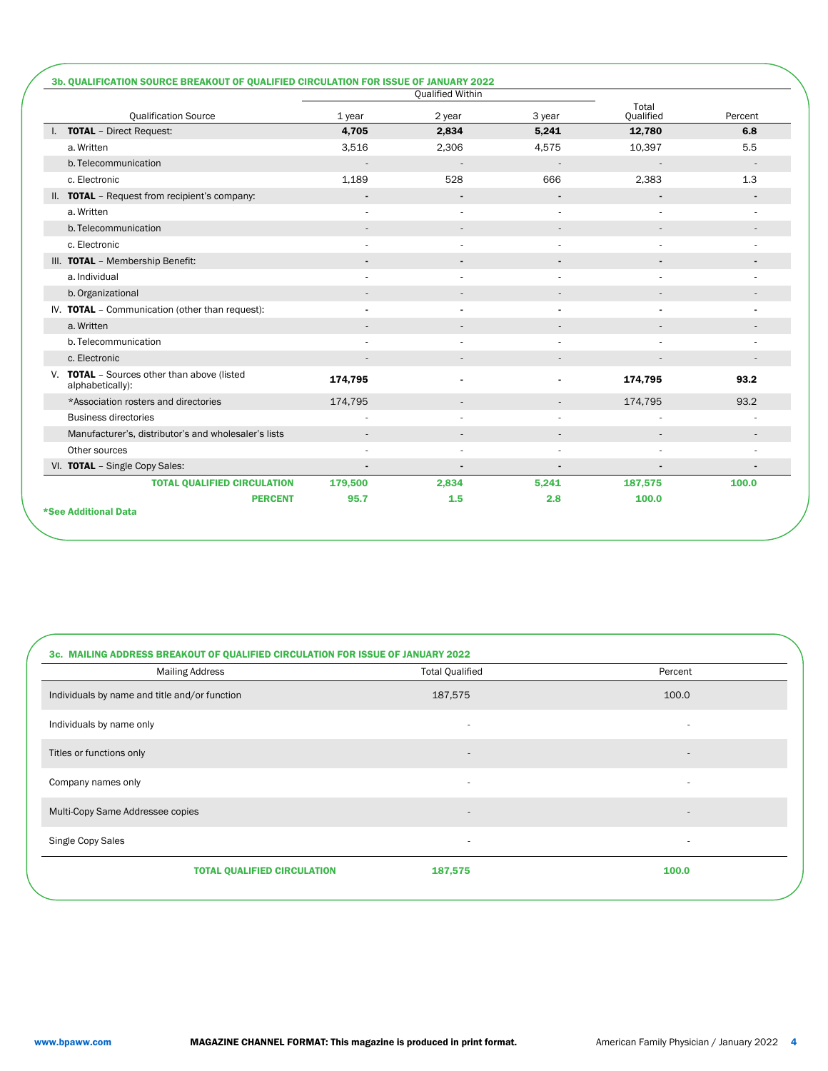|                                                                 |                | Qualified Within |                              |                    |         |
|-----------------------------------------------------------------|----------------|------------------|------------------------------|--------------------|---------|
| <b>Qualification Source</b>                                     | $1$ year       | 2 year           | 3 year                       | Total<br>Qualified | Percent |
| I. TOTAL - Direct Request:                                      | 4,705          | 2,834            | 5,241                        | 12,780             | 6.8     |
| a. Written                                                      | 3,516          | 2,306            | 4,575                        | 10,397             | 5.5     |
| b. Telecommunication                                            |                |                  |                              |                    |         |
| c. Electronic                                                   | 1,189          | 528              | 666                          | 2,383              | 1.3     |
| II. TOTAL - Request from recipient's company:                   | $\blacksquare$ |                  | $\qquad \qquad \blacksquare$ |                    |         |
| a. Written                                                      |                |                  |                              |                    |         |
| b. Telecommunication                                            | $\sim$         |                  | $\overline{\phantom{a}}$     |                    |         |
| c. Electronic                                                   |                |                  |                              |                    |         |
| III. TOTAL - Membership Benefit:                                |                |                  |                              |                    |         |
| a. Individual                                                   |                |                  |                              |                    |         |
| b. Organizational                                               |                |                  |                              |                    |         |
| IV. TOTAL - Communication (other than request):                 |                |                  |                              |                    |         |
| a. Written                                                      |                |                  |                              |                    |         |
| b. Telecommunication                                            |                |                  |                              |                    |         |
| c. Electronic                                                   |                |                  | $\overline{\phantom{a}}$     |                    |         |
| V. TOTAL - Sources other than above (listed<br>alphabetically): | 174,795        |                  |                              | 174,795            | 93.2    |
| *Association rosters and directories                            | 174,795        |                  | $\overline{\phantom{a}}$     | 174,795            | 93.2    |
| <b>Business directories</b>                                     |                |                  |                              |                    |         |
| Manufacturer's, distributor's and wholesaler's lists            | $\sim$         |                  | $\overline{\phantom{a}}$     |                    |         |
| Other sources                                                   | ٠              |                  |                              |                    |         |
| VI. TOTAL - Single Copy Sales:                                  | $\blacksquare$ |                  | $\blacksquare$               |                    |         |
| <b>TOTAL QUALIFIED CIRCULATION</b>                              | 179,500        | 2,834            | 5,241                        | 187,575            | 100.0   |
| <b>PERCENT</b>                                                  | 95.7           | 1.5              | 2.8                          | 100.0              |         |

| 3c. MAILING ADDRESS BREAKOUT OF QUALIFIED CIRCULATION FOR ISSUE OF JANUARY 2022 |                          |                          |  |  |  |  |  |
|---------------------------------------------------------------------------------|--------------------------|--------------------------|--|--|--|--|--|
| <b>Mailing Address</b>                                                          | <b>Total Qualified</b>   | Percent                  |  |  |  |  |  |
| Individuals by name and title and/or function                                   | 187,575                  | 100.0                    |  |  |  |  |  |
| Individuals by name only                                                        |                          | ۰                        |  |  |  |  |  |
| Titles or functions only                                                        | $\blacksquare$           |                          |  |  |  |  |  |
| Company names only                                                              | ٠                        |                          |  |  |  |  |  |
| Multi-Copy Same Addressee copies                                                | $\overline{\phantom{a}}$ | $\overline{\phantom{a}}$ |  |  |  |  |  |
| Single Copy Sales                                                               | ٠                        |                          |  |  |  |  |  |
| <b>TOTAL QUALIFIED CIRCULATION</b>                                              | 187,575                  | 100.0                    |  |  |  |  |  |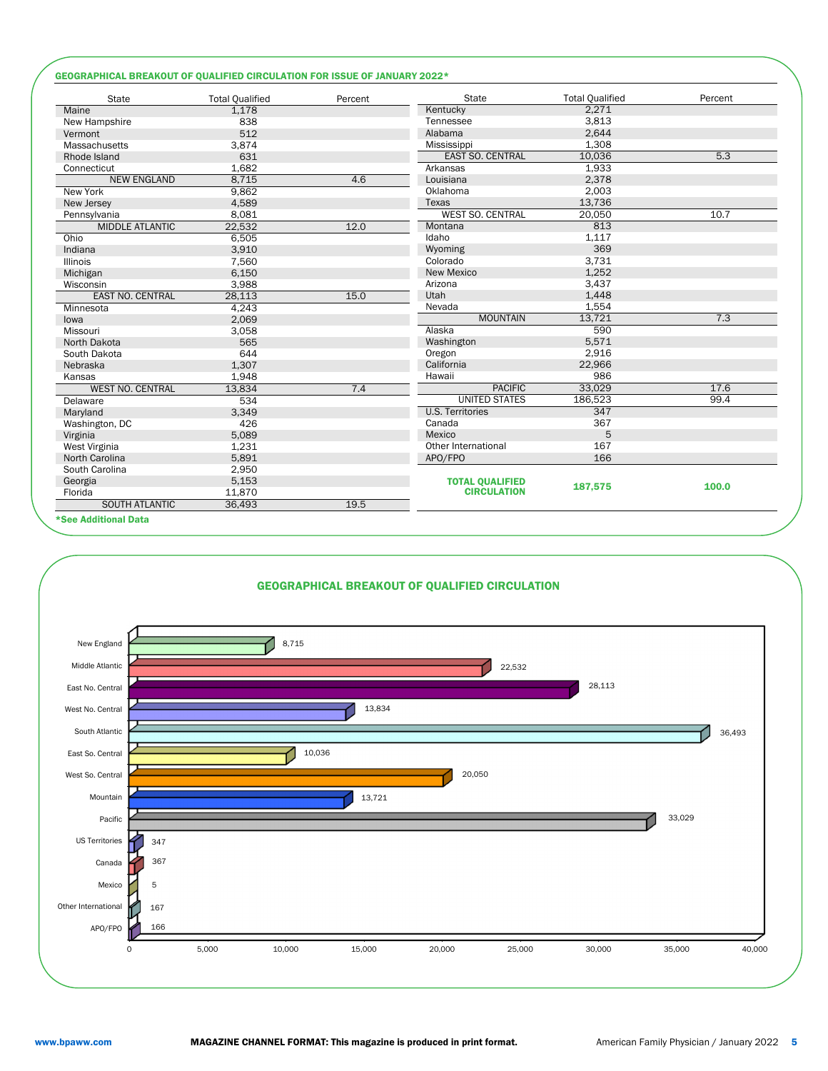## GEOGRAPHICAL BREAKOUT OF QUALIFIED CIRCULATION FOR ISSUE OF JANUARY 2022\*

| <b>State</b>            | <b>Total Qualified</b> | Percent | <b>State</b>            | <b>Total Qualified</b> | Percent |
|-------------------------|------------------------|---------|-------------------------|------------------------|---------|
| Maine                   | 1,178                  |         | Kentucky                | 2,271                  |         |
| New Hampshire           | 838                    |         | Tennessee               | 3,813                  |         |
| Vermont                 | 512                    |         | Alabama                 | 2,644                  |         |
| Massachusetts           | 3,874                  |         | Mississippi             | 1,308                  |         |
| Rhode Island            | 631                    |         | <b>EAST SO. CENTRAL</b> | 10,036                 | 5.3     |
| Connecticut             | 1,682                  |         | Arkansas                | 1,933                  |         |
| <b>NEW ENGLAND</b>      | 8,715                  | 4.6     | Louisiana               | 2,378                  |         |
| New York                | 9,862                  |         | Oklahoma                | 2,003                  |         |
| New Jersey              | 4,589                  |         | Texas                   | 13,736                 |         |
| Pennsylvania            | 8,081                  |         | WEST SO. CENTRAL        | 20,050                 | 10.7    |
| <b>MIDDLE ATLANTIC</b>  | 22,532                 | 12.0    | Montana                 | 813                    |         |
| Ohio                    | 6,505                  |         | Idaho                   | 1,117                  |         |
| Indiana                 | 3,910                  |         | Wyoming                 | 369                    |         |
| <b>Illinois</b>         | 7,560                  |         | Colorado                | 3,731                  |         |
| Michigan                | 6,150                  |         | New Mexico              | 1,252                  |         |
| Wisconsin               | 3,988                  |         | Arizona                 | 3,437                  |         |
| EAST NO. CENTRAL        | 28,113                 | 15.0    | Utah                    | 1,448                  |         |
| Minnesota               | 4,243                  |         | Nevada                  | 1,554                  |         |
| lowa                    | 2,069                  |         | <b>MOUNTAIN</b>         | 13,721                 | 7.3     |
| Missouri                | 3,058                  |         | Alaska                  | 590                    |         |
| North Dakota            | 565                    |         | Washington              | 5,571                  |         |
| South Dakota            | 644                    |         | Oregon                  | 2,916                  |         |
| Nebraska                | 1,307                  |         | California              | 22,966                 |         |
| Kansas                  | 1,948                  |         | Hawaii                  | 986                    |         |
| <b>WEST NO. CENTRAL</b> | 13.834                 | 7.4     | <b>PACIFIC</b>          | 33,029                 | 17.6    |
| Delaware                | 534                    |         | <b>UNITED STATES</b>    | 186,523                | 99.4    |
| Maryland                | 3.349                  |         | <b>U.S. Territories</b> | 347                    |         |
| Washington, DC          | 426                    |         | Canada                  | 367                    |         |
| Virginia                | 5,089                  |         | Mexico                  | 5                      |         |
| West Virginia           | 1,231                  |         | Other International     | 167                    |         |
| North Carolina          | 5,891                  |         | APO/FPO                 | 166                    |         |
| South Carolina          | 2,950                  |         |                         |                        |         |
| Georgia                 | 5,153                  |         | <b>TOTAL QUALIFIED</b>  |                        |         |
| Florida                 | 11,870                 |         | <b>CIRCULATION</b>      | 187,575                | 100.0   |
| SOUTH ATLANTIC          | 36,493                 | 19.5    |                         |                        |         |
| *See Additional Data    |                        |         |                         |                        |         |